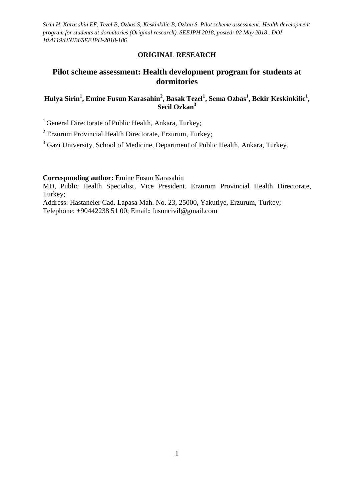## **ORIGINAL RESEARCH**

# **Pilot scheme assessment: Health development program for students at dormitories**

## **Hulya Sirin<sup>1</sup> , Emine Fusun Karasahin<sup>2</sup> , Basak Tezel<sup>1</sup> , Sema Ozbas<sup>1</sup> , Bekir Keskinkilic<sup>1</sup> , Secil Ozkan<sup>3</sup>**

<sup>1</sup> General Directorate of Public Health, Ankara, Turkey;

 $2$  Erzurum Provincial Health Directorate, Erzurum, Turkey;

<sup>3</sup> Gazi University, School of Medicine, Department of Public Health, Ankara, Turkey.

**Corresponding author:** Emine Fusun Karasahin

MD, Public Health Specialist, Vice President. Erzurum Provincial Health Directorate, Turkey;

Address: Hastaneler Cad. Lapasa Mah. No. 23, 25000, Yakutiye, Erzurum, Turkey;

Telephone: +90442238 51 00; Email**:** [fusuncivil@gmail.com](mailto:fusuncivil@gmail.com)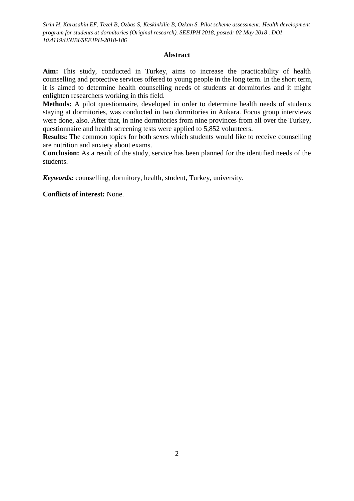#### **Abstract**

**Aim:** This study, conducted in Turkey, aims to increase the practicability of health counselling and protective services offered to young people in the long term. In the short term, it is aimed to determine health counselling needs of students at dormitories and it might enlighten researchers working in this field.

**Methods:** A pilot questionnaire, developed in order to determine health needs of students staying at dormitories, was conducted in two dormitories in Ankara. Focus group interviews were done, also. After that, in nine dormitories from nine provinces from all over the Turkey, questionnaire and health screening tests were applied to 5,852 volunteers.

**Results:** The common topics for both sexes which students would like to receive counselling are nutrition and anxiety about exams.

**Conclusion:** As a result of the study, service has been planned for the identified needs of the students.

*Keywords:* counselling, dormitory, health, student, Turkey, university.

**Conflicts of interest:** None.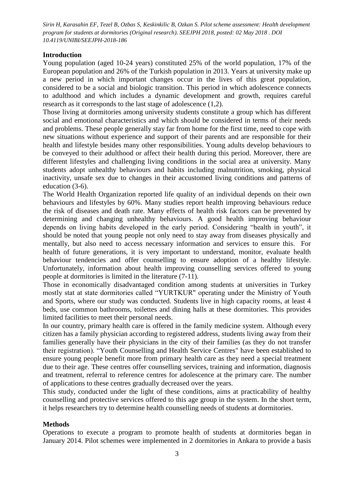#### **Introduction**

Young population (aged 10-24 years) constituted 25% of the world population, 17% of the European population and 26% of the Turkish population in 2013. Years at university make up a new period in which important changes occur in the lives of this great population, considered to be a social and biologic transition. This period in which adolescence connects to adulthood and which includes a dynamic development and growth, requires careful research as it corresponds to the last stage of adolescence (1,2).

Those living at dormitories among university students constitute a group which has different social and emotional characteristics and which should be considered in terms of their needs and problems. These people generally stay far from home for the first time, need to cope with new situations without experience and support of their parents and are responsible for their health and lifestyle besides many other responsibilities. Young adults develop behaviours to be conveyed to their adulthood or affect their health during this period. Moreover, there are different lifestyles and challenging living conditions in the social area at university. Many students adopt unhealthy behaviours and habits including malnutrition, smoking, physical inactivity, unsafe sex due to changes in their accustomed living conditions and patterns of education (3-6).

The World Health Organization reported life quality of an individual depends on their own behaviours and lifestyles by 60%. Many studies report health improving behaviours reduce the risk of diseases and death rate. Many effects of health risk factors can be prevented by determining and changing unhealthy behaviours. A good health improving behaviour depends on living habits developed in the early period. Considering "health in youth", it should be noted that young people not only need to stay away from diseases physically and mentally, but also need to access necessary information and services to ensure this. For health of future generations, it is very important to understand, monitor, evaluate health behaviour tendencies and offer counselling to ensure adoption of a healthy lifestyle. Unfortunately, information about health improving counselling services offered to young people at dormitories is limited in the literature (7-11).

Those in economically disadvantaged condition among students at universities in Turkey mostly stat at state dormitories called "YURTKUR" operating under the Ministry of Youth and Sports, where our study was conducted. Students live in high capacity rooms, at least 4 beds, use common bathrooms, toilettes and dining halls at these dormitories. This provides limited facilities to meet their personal needs.

In our country, primary health care is offered in the family medicine system. Although every citizen has a family physician according to registered address, students living away from their families generally have their physicians in the city of their families (as they do not transfer their registration). "Youth Counselling and Health Service Centres" have been established to ensure young people benefit more from primary health care as they need a special treatment due to their age. These centres offer counselling services, training and information, diagnosis and treatment, referral to reference centres for adolescence at the primary care. The number of applications to these centres gradually decreased over the years.

This study, conducted under the light of these conditions, aims at practicability of healthy counselling and protective services offered to this age group in the system. In the short term, it helps researchers try to determine health counselling needs of students at dormitories.

### **Methods**

Operations to execute a program to promote health of students at dormitories began in January 2014. Pilot schemes were implemented in 2 dormitories in Ankara to provide a basis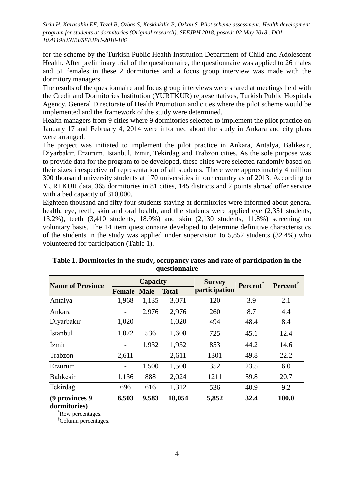for the scheme by the Turkish Public Health Institution Department of Child and Adolescent Health. After preliminary trial of the questionnaire, the questionnaire was applied to 26 males and 51 females in these 2 dormitories and a focus group interview was made with the dormitory managers.

The results of the questionnaire and focus group interviews were shared at meetings held with the Credit and Dormitories Institution (YURTKUR) representatives, Turkish Public Hospitals Agency, General Directorate of Health Promotion and cities where the pilot scheme would be implemented and the framework of the study were determined.

Health managers from 9 cities where 9 dormitories selected to implement the pilot practice on January 17 and February 4, 2014 were informed about the study in Ankara and city plans were arranged.

The project was initiated to implement the pilot practice in Ankara, Antalya, Balikesir, Diyarbakır, Erzurum, Istanbul, Izmir, Tekirdag and Trabzon cities. As the sole purpose was to provide data for the program to be developed, these cities were selected randomly based on their sizes irrespective of representation of all students. There were approximately 4 million 300 thousand university students at 170 universities in our country as of 2013. According to YURTKUR data, 365 dormitories in 81 cities, 145 districts and 2 points abroad offer service with a bed capacity of 310,000.

Eighteen thousand and fifty four students staying at dormitories were informed about general health, eye, teeth, skin and oral health, and the students were applied eye (2,351 students, 13.2%), teeth (3,410 students, 18.9%) and skin (2,130 students, 11.8%) screening on voluntary basis. The 14 item questionnaire developed to determine definitive characteristics of the students in the study was applied under supervision to 5,852 students (32.4%) who volunteered for participation (Table 1).

| <b>Name of Province</b>        | Capacity          |             |              | <b>Survey</b> | Percent <sup>*</sup> | <b>Percent</b> |  |
|--------------------------------|-------------------|-------------|--------------|---------------|----------------------|----------------|--|
|                                | <b>Female</b>     | <b>Male</b> | <b>Total</b> | participation |                      |                |  |
| Antalya                        | 1,968             | 1,135       | 3,071        | 120           | 3.9                  | 2.1            |  |
| Ankara                         |                   | 2,976       | 2,976        | 260           | 8.7                  | 4.4            |  |
| Diyarbakır                     | 1,020             |             | 1,020        | 494           | 48.4                 | 8.4            |  |
| <i>Istanbul</i>                | 1,072             | 536         | 1,608        | 725           | 45.1                 | 12.4           |  |
| İzmir                          | $\qquad \qquad -$ | 1,932       | 1,932        | 853           | 44.2                 | 14.6           |  |
| Trabzon                        | 2,611             |             | 2,611        | 1301          | 49.8                 | 22.2           |  |
| Erzurum                        |                   | 1,500       | 1,500        | 352           | 23.5                 | 6.0            |  |
| Balıkesir                      | 1,136             | 888         | 2,024        | 1211          | 59.8                 | 20.7           |  |
| Tekirdağ                       | 696               | 616         | 1,312        | 536           | 40.9                 | 9.2            |  |
| (9 provinces 9<br>dormitories) | 8,503             | 9,583       | 18,054       | 5,852         | 32.4                 | 100.0          |  |

**Table 1. Dormitories in the study, occupancy rates and rate of participation in the questionnaire**

**\***Row percentages.

**†**Column percentages.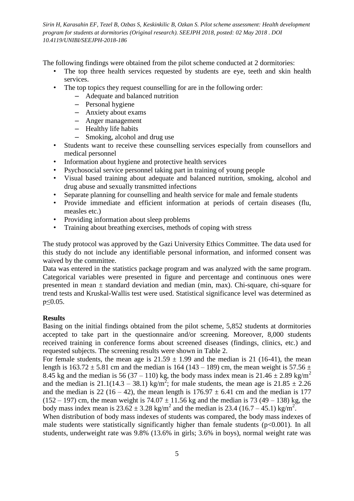The following findings were obtained from the pilot scheme conducted at 2 dormitories:

- The top three health services requested by students are eye, teeth and skin health services.
- The top topics they request counselling for are in the following order:
	- Adequate and balanced nutrition
	- Personal hygiene
	- Anxiety about exams
	- Anger management
	- Healthy life habits
	- Smoking, alcohol and drug use
- Students want to receive these counselling services especially from counsellors and medical personnel
- Information about hygiene and protective health services
- Psychosocial service personnel taking part in training of young people
- Visual based training about adequate and balanced nutrition, smoking, alcohol and drug abuse and sexually transmitted infections
- Separate planning for counselling and health service for male and female students
- Provide immediate and efficient information at periods of certain diseases (flu, measles etc.)
- Providing information about sleep problems
- Training about breathing exercises, methods of coping with stress

The study protocol was approved by the Gazi University Ethics Committee. The data used for this study do not include any identifiable personal information, and informed consent was waived by the committee.

Data was entered in the statistics package program and was analyzed with the same program. Categorical variables were presented in figure and percentage and continuous ones were presented in mean  $\pm$  standard deviation and median (min, max). Chi-square, chi-square for trend tests and Kruskal-Wallis test were used. Statistical significance level was determined as p≤0.05.

#### **Results**

Basing on the initial findings obtained from the pilot scheme, 5,852 students at dormitories accepted to take part in the questionnaire and/or screening. Moreover, 8,000 students received training in conference forms about screened diseases (findings, clinics, etc.) and requested subjects. The screening results were shown in Table 2.

For female students, the mean age is  $21.59 \pm 1.99$  and the median is 21 (16-41), the mean length is  $163.72 \pm 5.81$  cm and the median is  $164 (143 - 189)$  cm, the mean weight is  $57.56 \pm 10^{-10}$ 8.45 kg and the median is 56 (37 – 110) kg, the body mass index mean is 21.46  $\pm$  2.89 kg/m<sup>2</sup> and the median is 21.1(14.3 – 38.1) kg/m<sup>2</sup>; for male students, the mean age is 21.85  $\pm$  2.26 and the median is 22 (16 – 42), the mean length is  $176.97 \pm 6.41$  cm and the median is 177  $(152 – 197)$  cm, the mean weight is  $74.07 \pm 11.56$  kg and the median is 73 (49 – 138) kg, the body mass index mean is  $23.62 \pm 3.28$  kg/m<sup>2</sup> and the median is  $23.4$  (16.7 – 45.1) kg/m<sup>2</sup>.

When distribution of body mass indexes of students was compared, the body mass indexes of male students were statistically significantly higher than female students (p<0.001). In all students, underweight rate was 9.8% (13.6% in girls; 3.6% in boys), normal weight rate was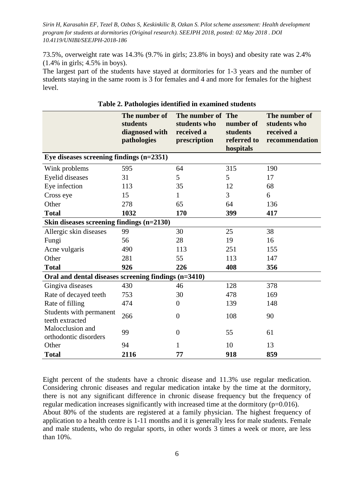73.5%, overweight rate was 14.3% (9.7% in girls; 23.8% in boys) and obesity rate was 2.4% (1.4% in girls; 4.5% in boys).

The largest part of the students have stayed at dormitories for 1-3 years and the number of students staying in the same room is 3 for females and 4 and more for females for the highest level.

|                                                      | The number of<br>students<br>diagnosed with<br>pathologies | The number of The<br>students who<br>received a<br>prescription | number of<br>students<br>referred to<br>hospitals | The number of<br>students who<br>received a<br>recommendation |  |  |  |
|------------------------------------------------------|------------------------------------------------------------|-----------------------------------------------------------------|---------------------------------------------------|---------------------------------------------------------------|--|--|--|
| Eye diseases screening findings $(n=2351)$           |                                                            |                                                                 |                                                   |                                                               |  |  |  |
| Wink problems                                        | 595                                                        | 64                                                              | 315                                               | 190                                                           |  |  |  |
| Eyelid diseases                                      | 31                                                         | 5                                                               | 5                                                 | 17                                                            |  |  |  |
| Eye infection                                        | 113                                                        | 35                                                              | 12                                                | 68                                                            |  |  |  |
| Cross eye                                            | 15                                                         | 1                                                               | 3                                                 | 6                                                             |  |  |  |
| Other                                                | 278                                                        | 65                                                              | 64                                                | 136                                                           |  |  |  |
| <b>Total</b>                                         | 1032                                                       | 170                                                             | 399                                               | 417                                                           |  |  |  |
| Skin diseases screening findings (n=2130)            |                                                            |                                                                 |                                                   |                                                               |  |  |  |
| Allergic skin diseases                               | 99                                                         | 30                                                              | 25                                                | 38                                                            |  |  |  |
| Fungi                                                | 56                                                         | 28                                                              | 19                                                | 16                                                            |  |  |  |
| Acne vulgaris                                        | 490                                                        | 113                                                             | 251                                               | 155                                                           |  |  |  |
| Other                                                | 281                                                        | 55                                                              | 113                                               | 147                                                           |  |  |  |
| <b>Total</b>                                         | 926                                                        | 226                                                             | 408                                               | 356                                                           |  |  |  |
| Oral and dental diseases screening findings (n=3410) |                                                            |                                                                 |                                                   |                                                               |  |  |  |
| Gingiva diseases                                     | 430                                                        | 46                                                              | 128                                               | 378                                                           |  |  |  |
| Rate of decayed teeth                                | 753                                                        | 30                                                              | 478                                               | 169                                                           |  |  |  |
| Rate of filling                                      | 474                                                        | $\boldsymbol{0}$                                                | 139                                               | 148                                                           |  |  |  |
| Students with permanent<br>teeth extracted           | 266                                                        | $\overline{0}$                                                  | 108                                               | 90                                                            |  |  |  |
| Malocclusion and<br>orthodontic disorders            | 99                                                         | $\overline{0}$                                                  | 55                                                | 61                                                            |  |  |  |
| Other                                                | 94                                                         | $\mathbf{1}$                                                    | 10                                                | 13                                                            |  |  |  |
| <b>Total</b>                                         | 2116                                                       | 77                                                              | 918                                               | 859                                                           |  |  |  |

**Table 2. Pathologies identified in examined students** 

Eight percent of the students have a chronic disease and 11.3% use regular medication. Considering chronic diseases and regular medication intake by the time at the dormitory, there is not any significant difference in chronic disease frequency but the frequency of regular medication increases significantly with increased time at the dormitory (p=0.016). About 80% of the students are registered at a family physician. The highest frequency of application to a health centre is 1-11 months and it is generally less for male students. Female and male students, who do regular sports, in other words 3 times a week or more, are less than 10%.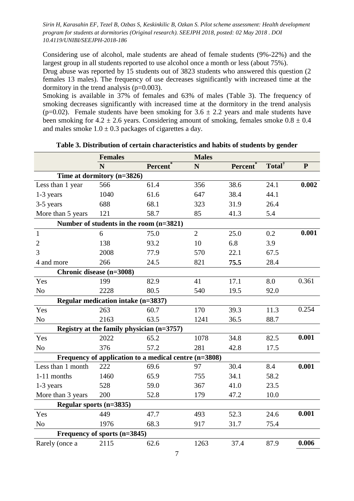Considering use of alcohol, male students are ahead of female students (9%-22%) and the largest group in all students reported to use alcohol once a month or less (about 75%).

Drug abuse was reported by 15 students out of 3823 students who answered this question (2 females 13 males). The frequency of use decreases significantly with increased time at the dormitory in the trend analysis (p=0.003).

Smoking is available in 37% of females and 63% of males (Table 3). The frequency of smoking decreases significantly with increased time at the dormitory in the trend analysis (p=0.02). Female students have been smoking for  $3.6 \pm 2.2$  years and male students have been smoking for  $4.2 \pm 2.6$  years. Considering amount of smoking, females smoke  $0.8 \pm 0.4$ and males smoke  $1.0 \pm 0.3$  packages of cigarettes a day.

|                                                       | <b>Females</b>                            |                      | <b>Males</b>   |          |                    |              |  |  |
|-------------------------------------------------------|-------------------------------------------|----------------------|----------------|----------|--------------------|--------------|--|--|
|                                                       | N                                         | Percent <sup>®</sup> | N              | Percent* | Total <sup>†</sup> | $\mathbf{P}$ |  |  |
| Time at dormitory (n=3826)                            |                                           |                      |                |          |                    |              |  |  |
| Less than 1 year                                      | 566                                       | 61.4                 | 356            | 38.6     | 24.1               | 0.002        |  |  |
| 1-3 years                                             | 1040                                      | 61.6                 | 647            | 38.4     | 44.1               |              |  |  |
| 3-5 years                                             | 688                                       | 68.1                 | 323            | 31.9     | 26.4               |              |  |  |
| More than 5 years                                     | 121                                       | 58.7                 | 85             | 41.3     | 5.4                |              |  |  |
| Number of students in the room (n=3821)               |                                           |                      |                |          |                    |              |  |  |
| $\mathbf{1}$                                          | 6                                         | 75.0                 | $\overline{2}$ | 25.0     | 0.2                | 0.001        |  |  |
| $\overline{2}$                                        | 138                                       | 93.2                 | 10             | 6.8      | 3.9                |              |  |  |
| 3                                                     | 2008                                      | 77.9                 | 570            | 22.1     | 67.5               |              |  |  |
| 4 and more                                            | 266                                       | 24.5                 | 821            | 75.5     | 28.4               |              |  |  |
|                                                       | Chronic disease (n=3008)                  |                      |                |          |                    |              |  |  |
| Yes                                                   | 199                                       | 82.9                 | 41             | 17.1     | 8.0                | 0.361        |  |  |
| N <sub>o</sub>                                        | 2228                                      | 80.5                 | 540            | 19.5     | 92.0               |              |  |  |
| Regular medication intake (n=3837)                    |                                           |                      |                |          |                    |              |  |  |
| Yes                                                   | 263                                       | 60.7                 | 170            | 39.3     | 11.3               | 0.254        |  |  |
| N <sub>o</sub>                                        | 2163                                      | 63.5                 | 1241           | 36.5     | 88.7               |              |  |  |
|                                                       | Registry at the family physician (n=3757) |                      |                |          |                    |              |  |  |
| Yes                                                   | 2022                                      | 65.2                 | 1078           | 34.8     | 82.5               | 0.001        |  |  |
| N <sub>o</sub>                                        | 376                                       | 57.2                 | 281            | 42.8     | 17.5               |              |  |  |
| Frequency of application to a medical centre (n=3808) |                                           |                      |                |          |                    |              |  |  |
| Less than 1 month                                     | 222                                       | 69.6                 | 97             | 30.4     | 8.4                | 0.001        |  |  |
| 1-11 months                                           | 1460                                      | 65.9                 | 755            | 34.1     | 58.2               |              |  |  |
| 1-3 years                                             | 528                                       | 59.0                 | 367            | 41.0     | 23.5               |              |  |  |
| More than 3 years                                     | 200                                       | 52.8                 | 179            | 47.2     | 10.0               |              |  |  |
| Regular sports (n=3835)                               |                                           |                      |                |          |                    |              |  |  |
| Yes                                                   | 449                                       | 47.7                 | 493            | 52.3     | 24.6               | 0.001        |  |  |
| N <sub>o</sub>                                        | 1976                                      | 68.3                 | 917            | 31.7     | 75.4               |              |  |  |
| Frequency of sports (n=3845)                          |                                           |                      |                |          |                    |              |  |  |
| Rarely (once a                                        | 2115                                      | 62.6                 | 1263           | 37.4     | 87.9               | 0.006        |  |  |
|                                                       |                                           |                      |                |          |                    |              |  |  |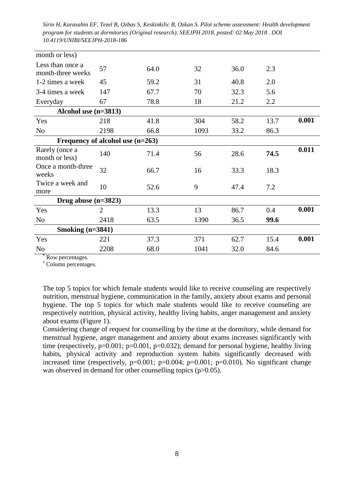| month or less)                        |                |      |      |      |      |       |  |
|---------------------------------------|----------------|------|------|------|------|-------|--|
| Less than once a<br>month-three weeks | 57             | 64.0 | 32   | 36.0 | 2.3  |       |  |
| 1-2 times a week                      | 45             | 59.2 | 31   | 40.8 | 2.0  |       |  |
| 3-4 times a week                      | 147            | 67.7 | 70   | 32.3 | 5.6  |       |  |
| Everyday                              | 67             | 78.8 | 18   | 21.2 | 2.2  |       |  |
| Alcohol use (n=3813)                  |                |      |      |      |      |       |  |
| Yes                                   | 218            | 41.8 | 304  | 58.2 | 13.7 | 0.001 |  |
| N <sub>o</sub>                        | 2198           | 66.8 | 1093 | 33.2 | 86.3 |       |  |
| Frequency of alcohol use $(n=263)$    |                |      |      |      |      |       |  |
| Rarely (once a<br>month or less)      | 140            | 71.4 | 56   | 28.6 | 74.5 | 0.011 |  |
| Once a month-three<br>weeks           | 32             | 66.7 | 16   | 33.3 | 18.3 |       |  |
| Twice a week and<br>more              | 10             | 52.6 | 9    | 47.4 | 7.2  |       |  |
| Drug abuse $(n=3823)$                 |                |      |      |      |      |       |  |
| Yes                                   | $\overline{2}$ | 13.3 | 13   | 86.7 | 0.4  | 0.001 |  |
| N <sub>o</sub>                        | 2418           | 63.5 | 1390 | 36.5 | 99.6 |       |  |
| Smoking $(n=3841)$                    |                |      |      |      |      |       |  |
| Yes                                   | 221            | 37.3 | 371  | 62.7 | 15.4 | 0.001 |  |
| N <sub>o</sub>                        | 2208           | 68.0 | 1041 | 32.0 | 84.6 |       |  |

**\*** Row percentages.

**†** Column percentages.

The top 5 topics for which female students would like to receive counseling are respectively nutrition, menstrual hygiene, communication in the family, anxiety about exams and personal hygiene. The top 5 topics for which male students would like to receive counseling are respectively nutrition, physical activity, healthy living habits, anger management and anxiety about exams (Figure 1).

Considering change of request for counselling by the time at the dormitory, while demand for menstrual hygiene, anger management and anxiety about exams increases significantly with time (respectively,  $p=0.001$ ;  $p=0.001$ ,  $p=0.032$ ); demand for personal hygiene, healthy living habits, physical activity and reproduction system habits significantly decreased with increased time (respectively,  $p=0.001$ ;  $p=0.004$ ;  $p=0.001$ ;  $p=0.010$ ). No significant change was observed in demand for other counselling topics (p>0.05).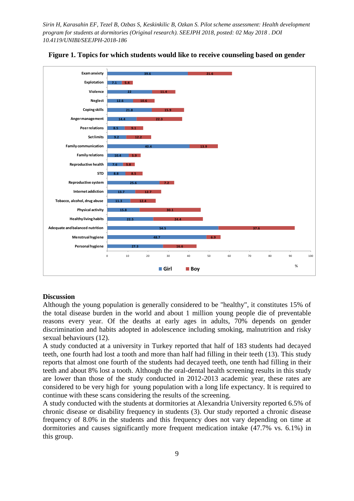



#### **Discussion**

Although the young population is generally considered to be "healthy", it constitutes 15% of the total disease burden in the world and about 1 million young people die of preventable reasons every year. Of the deaths at early ages in adults, 70% depends on gender discrimination and habits adopted in adolescence including smoking, malnutrition and risky sexual behaviours (12).

A study conducted at a university in Turkey reported that half of 183 students had decayed teeth, one fourth had lost a tooth and more than half had filling in their teeth (13). This study reports that almost one fourth of the students had decayed teeth, one tenth had filling in their teeth and about 8% lost a tooth. Although the oral-dental health screening results in this study are lower than those of the study conducted in 2012-2013 academic year, these rates are considered to be very high for young population with a long life expectancy. It is required to continue with these scans considering the results of the screening.

A study conducted with the students at dormitories at Alexandria University reported 6.5% of chronic disease or disability frequency in students (3). Our study reported a chronic disease frequency of 8.0% in the students and this frequency does not vary depending on time at dormitories and causes significantly more frequent medication intake (47.7% vs. 6.1%) in this group.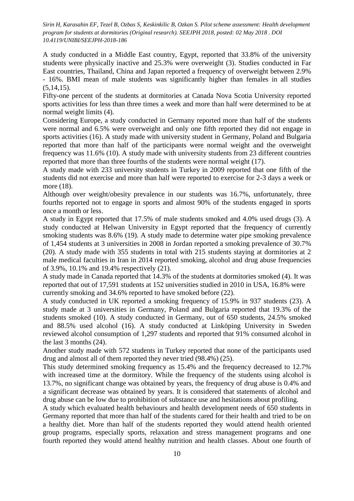A study conducted in a Middle East country, Egypt, reported that 33.8% of the university students were physically inactive and 25.3% were overweight (3). Studies conducted in Far East countries, Thailand, China and Japan reported a frequency of overweight between 2.9% - 16%. BMI mean of male students was significantly higher than females in all studies  $(5,14,15)$ .

Fifty-one percent of the students at dormitories at Canada Nova Scotia University reported sports activities for less than three times a week and more than half were determined to be at normal weight limits (4).

Considering Europe, a study conducted in Germany reported more than half of the students were normal and 6.5% were overweight and only one fifth reported they did not engage in sports activities (16). A study made with university student in Germany, Poland and Bulgaria reported that more than half of the participants were normal weight and the overweight frequency was 11.6% (10). A study made with university students from 23 different countries reported that more than three fourths of the students were normal weight (17).

A study made with 233 university students in Turkey in 2009 reported that one fifth of the students did not exercise and more than half were reported to exercise for 2-3 days a week or more (18).

Although over weight/obesity prevalence in our students was 16.7%, unfortunately, three fourths reported not to engage in sports and almost 90% of the students engaged in sports once a month or less.

A study in Egypt reported that 17.5% of male students smoked and 4.0% used drugs (3). A study conducted at Helwan University in Egypt reported that the frequency of currently smoking students was 8.6% (19). A study made to determine water pipe smoking prevalence of 1,454 students at 3 universities in 2008 in Jordan reported a smoking prevalence of 30.7% (20). A study made with 355 students in total with 215 students staying at dormitories at 2 male medical faculties in Iran in 2014 reported smoking, alcohol and drug abuse frequencies of 3.9%, 10.1% and 19.4% respectively (21).

A study made in Canada reported that 14.3% of the students at dormitories smoked (4). It was reported that out of 17,591 students at 152 universities studied in 2010 in USA, 16.8% were currently smoking and 34.6% reported to have smoked before (22).

A study conducted in UK reported a smoking frequency of 15.9% in 937 students (23). A study made at 3 universities in Germany, Poland and Bulgaria reported that 19.3% of the students smoked (10). A study conducted in Germany, out of 650 students, 24.5% smoked and 88.5% used alcohol (16). A study conducted at Linköping University in Sweden reviewed alcohol consumption of 1,297 students and reported that 91% consumed alcohol in the last 3 months (24).

Another study made with 572 students in Turkey reported that none of the participants used drug and almost all of them reported they never tried (98.4%) (25).

This study determined smoking frequency as 15.4% and the frequency decreased to 12.7% with increased time at the dormitory. While the frequency of the students using alcohol is 13.7%, no significant change was obtained by years, the frequency of drug abuse is 0.4% and a significant decrease was obtained by years. It is considered that statements of alcohol and drug abuse can be low due to prohibition of substance use and hesitations about profiling.

A study which evaluated health behaviours and health development needs of 650 students in Germany reported that more than half of the students cared for their health and tried to be on a healthy diet. More than half of the students reported they would attend health oriented group programs, especially sports, relaxation and stress management programs and one fourth reported they would attend healthy nutrition and health classes. About one fourth of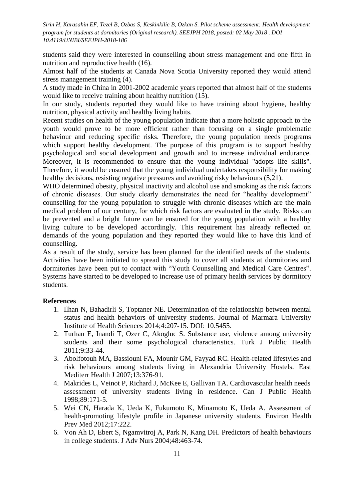students said they were interested in counselling about stress management and one fifth in nutrition and reproductive health (16).

Almost half of the students at Canada Nova Scotia University reported they would attend stress management training (4).

A study made in China in 2001-2002 academic years reported that almost half of the students would like to receive training about healthy nutrition (15).

In our study, students reported they would like to have training about hygiene, healthy nutrition, physical activity and healthy living habits.

Recent studies on health of the young population indicate that a more holistic approach to the youth would prove to be more efficient rather than focusing on a single problematic behaviour and reducing specific risks. Therefore, the young population needs programs which support healthy development. The purpose of this program is to support healthy psychological and social development and growth and to increase individual endurance. Moreover, it is recommended to ensure that the young individual "adopts life skills". Therefore, it would be ensured that the young individual undertakes responsibility for making healthy decisions, resisting negative pressures and avoiding risky behaviours (5,21).

WHO determined obesity, physical inactivity and alcohol use and smoking as the risk factors of chronic diseases. Our study clearly demonstrates the need for "healthy development" counselling for the young population to struggle with chronic diseases which are the main medical problem of our century, for which risk factors are evaluated in the study. Risks can be prevented and a bright future can be ensured for the young population with a healthy living culture to be developed accordingly. This requirement has already reflected on demands of the young population and they reported they would like to have this kind of counselling.

As a result of the study, service has been planned for the identified needs of the students. Activities have been initiated to spread this study to cover all students at dormitories and dormitories have been put to contact with "Youth Counselling and Medical Care Centres". Systems have started to be developed to increase use of primary health services by dormitory students.

## **References**

- 1. Ilhan N, Bahadirli S, Toptaner NE. Determination of the relationship between mental status and health behaviors of university students. Journal of Marmara University Institute of Health Sciences 2014;4:207-15. DOI: 10.5455.
- 2. Turhan E, Inandi T, Ozer C, Akogluc S. Substance use, violence among university students and their some psychological characteristics. Turk J Public Health 2011;9:33-44.
- 3. Abolfotouh MA, Bassiouni FA, Mounir GM, Fayyad RC. Health-related lifestyles and risk behaviours among students living in Alexandria University Hostels. East Mediterr Health J 2007;13:376-91.
- 4. Makrides L, Veinot P, Richard J, McKee E, Gallivan TA. Cardiovascular health needs assessment of university students living in residence. Can J Public Health 1998;89:171-5.
- 5. Wei CN, Harada K, Ueda K, Fukumoto K, Minamoto K, Ueda A. Assessment of health-promoting lifestyle profile in Japanese university students. Environ Health Prev Med 2012;17:222.
- 6. Von Ah D, Ebert S, Ngamvitroj A, Park N, Kang DH. Predictors of health behaviours in college students. J Adv Nurs 2004;48:463-74.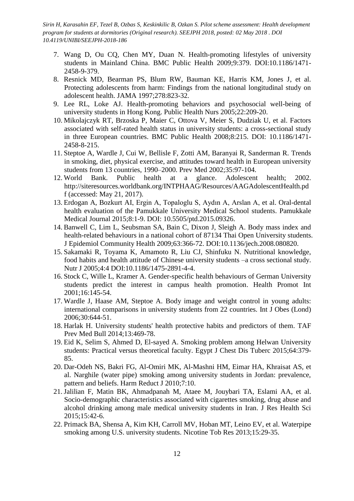- 7. Wang D, Ou CQ, Chen MY, Duan N. Health-promoting lifestyles of university students in Mainland China. BMC Public Health 2009;9:379. DOI:10.1186/1471- 2458-9-379.
- 8. Resnick MD, Bearman PS, Blum RW, Bauman KE, Harris KM, Jones J, et al. Protecting adolescents from harm: Findings from the national longitudinal study on adolescent health. JAMA 1997;278:823-32.
- 9. Lee RL, Loke AJ. Health-promoting behaviors and psychosocial well-being of university students in Hong Kong. Public Health Nurs 2005;22:209-20.
- 10. Mikolajczyk RT, Brzoska P, Maier C, Ottova V, Meier S, Dudziak U, et al. Factors associated with self-rated health status in university students: a cross-sectional study in three European countries. BMC Public Health 2008;8:215. DOI: 10.1186/1471- 2458-8-215.
- 11. Steptoe A, Wardle J, Cui W, Bellisle F, Zotti AM, Baranyai R, Sanderman R. Trends in smoking, diet, physical exercise, and attitudes toward health in European university students from 13 countries, 1990–2000. Prev Med 2002;35:97-104.
- 12. World Bank. Public health at a glance. Adolescent health; 2002. http://siteresources.worldbank.org/INTPHAAG/Resources/AAGAdolescentHealth.pd f (accessed: May 21, 2017).
- 13. Erdogan A, Bozkurt AI, Ergin A, Topaloglu S, Aydın A, Arslan A, et al. Oral-dental health evaluation of the Pamukkale University Medical School students. Pamukkale Medical Journal 2015;8:1-9. DOI: 10.5505/ptd.2015.09326.
- 14. Banwell C, Lim L, Seubsman SA, Bain C, Dixon J, Sleigh A. Body mass index and health-related behaviours in a national cohort of 87134 Thai Open University students. J Epidemiol Community Health 2009;63:366-72. DOI:10.1136/jech.2008.080820.
- 15. Sakamaki R, Toyama K, Amamoto R, Liu CJ, Shinfuku N. Nutritional knowledge, food habits and health attitude of Chinese university students –a cross sectional study. Nutr J 2005;4:4 DOI:10.1186/1475-2891-4-4.
- 16. Stock C, Wille L, Kramer A. Gender-specific health behaviours of German University students predict the interest in campus health promotion. Health Promot Int 2001;16:145-54.
- 17. Wardle J, Haase AM, Steptoe A. Body image and weight control in young adults: international comparisons in university students from 22 countries. Int J Obes (Lond) 2006;30:644-51.
- 18. Harlak H. University students' health protective habits and predictors of them. TAF Prev Med Bull 2014;13:469-78.
- 19. Eid K, Selim S, Ahmed D, El-sayed A. Smoking problem among Helwan University students: Practical versus theoretical faculty. Egypt J Chest Dis Tuberc 2015;64:379- 85.
- 20. Dar-Odeh NS, Bakri FG, Al-Omiri MK, Al-Mashni HM, Eimar HA, Khraisat AS, et al. Narghile (water pipe) smoking among university students in Jordan: prevalence, pattern and beliefs. Harm Reduct J 2010;7:10.
- 21. Jalilian F, Matin BK, Ahmadpanah M, Ataee M, Jouybari TA, Eslami AA, et al. Socio-demographic characteristics associated with cigarettes smoking, drug abuse and alcohol drinking among male medical university students in Iran. J Res Health Sci 2015;15:42-6.
- 22. Primack BA, Shensa A, Kim KH, Carroll MV, Hoban MT, Leino EV, et al. Waterpipe smoking among U.S. university students. Nicotine Tob Res 2013;15:29-35.